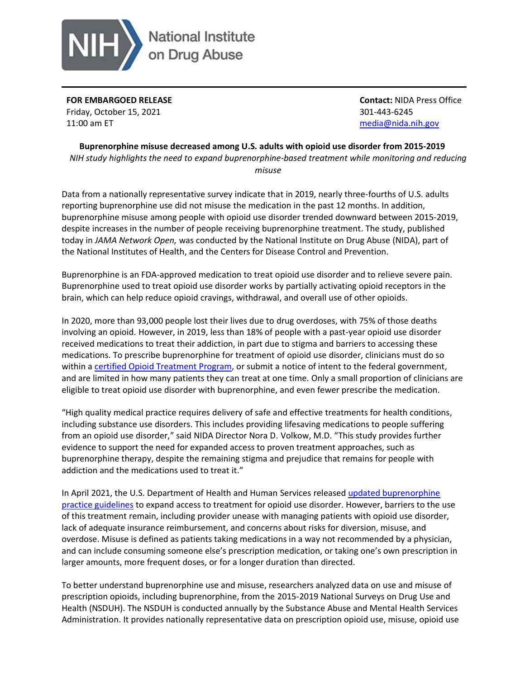

**FOR EMBARGOED RELEASE** Friday, October 15, 2021 11:00 am ET

**Contact:** NIDA Press Office 301-443-6245 [media@nida.nih.gov](mailto:media@nida.nih.gov)

**Buprenorphine misuse decreased among U.S. adults with opioid use disorder from 2015-2019** *NIH study highlights the need to expand buprenorphine-based treatment while monitoring and reducing misuse* 

Data from a nationally representative survey indicate that in 2019, nearly three-fourths of U.S. adults reporting buprenorphine use did not misuse the medication in the past 12 months. In addition, buprenorphine misuse among people with opioid use disorder trended downward between 2015-2019, despite increases in the number of people receiving buprenorphine treatment. The study, published today in *JAMA Network Open,* was conducted by the National Institute on Drug Abuse (NIDA), part of the National Institutes of Health, and the Centers for Disease Control and Prevention.

Buprenorphine is an FDA-approved medication to treat opioid use disorder and to relieve severe pain. Buprenorphine used to treat opioid use disorder works by partially activating opioid receptors in the brain, which can help reduce opioid cravings, withdrawal, and overall use of other opioids.

In 2020, more than 93,000 people lost their lives due to drug overdoses, with 75% of those deaths involving an opioid. However, in 2019, less than 18% of people with a past-year opioid use disorder received medications to treat their addiction, in part due to stigma and barriers to accessing these medications. To prescribe buprenorphine for treatment of opioid use disorder, clinicians must do so within a [certified Opioid Treatment Program,](https://www.samhsa.gov/medication-assisted-treatment/become-accredited-opioid-treatment-program/buprenorphine-dispensing-by-program) or submit a notice of intent to the federal government, and are limited in how many patients they can treat at one time. Only a small proportion of clinicians are eligible to treat opioid use disorder with buprenorphine, and even fewer prescribe the medication.

"High quality medical practice requires delivery of safe and effective treatments for health conditions, including substance use disorders. This includes providing lifesaving medications to people suffering from an opioid use disorder," said NIDA Director Nora D. Volkow, M.D. "This study provides further evidence to support the need for expanded access to proven treatment approaches, such as buprenorphine therapy, despite the remaining stigma and prejudice that remains for people with addiction and the medications used to treat it."

In April 2021, the U.S. Department of Health and Human Services released updated buprenorphine [practice guidelines](https://www.hhs.gov/about/news/2021/04/27/hhs-releases-new-buprenorphine-practice-guidelines-expanding-access-to-treatment-for-opioid-use-disorder.html) to expand access to treatment for opioid use disorder. However, barriers to the use of this treatment remain, including provider unease with managing patients with opioid use disorder, lack of adequate insurance reimbursement, and concerns about risks for diversion, misuse, and overdose. Misuse is defined as patients taking medications in a way not recommended by a physician, and can include consuming someone else's prescription medication, or taking one's own prescription in larger amounts, more frequent doses, or for a longer duration than directed.

To better understand buprenorphine use and misuse, researchers analyzed data on use and misuse of prescription opioids, including buprenorphine, from the 2015-2019 National Surveys on Drug Use and Health (NSDUH). The NSDUH is conducted annually by the Substance Abuse and Mental Health Services Administration. It provides nationally representative data on prescription opioid use, misuse, opioid use